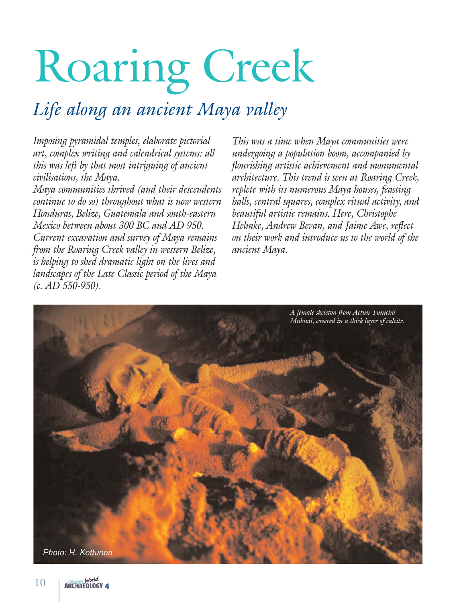# Roaring Creek

## *Life along an ancient Maya valley*

*Imposing pyramidal temples, elaborate pictorial art, complex writing and calendrical systems: all this was left by that most intriguing of ancient civilisations, the Maya.* 

*Maya communities thrived (and their descendents continue to do so) throughout what is now western Honduras, Belize, Guatemala and south-eastern Mexico between about 300 BC and AD 950. Current excavation and survey of Maya remains from the Roaring Creek valley in western Belize, is helping to shed dramatic light on the lives and landscapes of the Late Classic period of the Maya (c. AD 550-950).* 

*This was a time when Maya communities were undergoing a population boom, accompanied by flourishing artistic achievement and monumental architecture. This trend is seen at Roaring Creek, replete with its numerous Maya houses, feasting halls, central squares, complex ritual activity, and beautiful artistic remains. Here, Christophe Helmke, Andrew Bevan, and Jaime Awe, reflect on their work and introduce us to the world of the ancient Maya.*

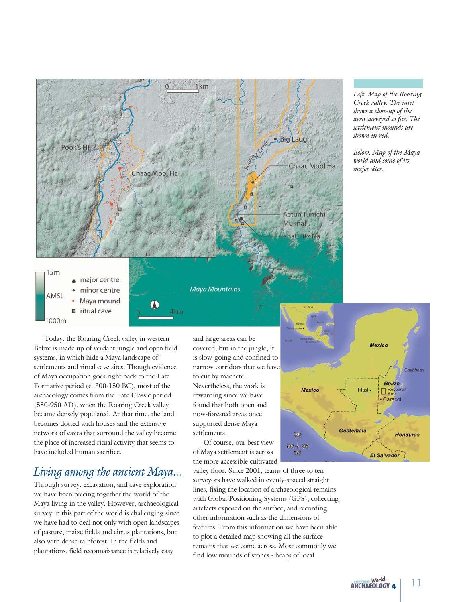

*Left. Map of the Roaring Creek valley. The inset shows a close-up of the area surveyed so far. The settlement mounds are shown in red.* 

*Below. Map of the Maya world and some of its major sites.*

Today, the Roaring Creek valley in western Belize is made up of verdant jungle and open field systems, in which hide a Maya landscape of settlements and ritual cave sites. Though evidence of Maya occupation goes right back to the Late Formative period (c. 300-150 BC), most of the archaeology comes from the Late Classic period (550-950 AD), when the Roaring Creek valley became densely populated. At that time, the land becomes dotted with houses and the extensive network of caves that surround the valley become the place of increased ritual activity that seems to have included human sacrifice.

## *Living among the ancient Maya...*

Through survey, excavation, and cave exploration we have been piecing together the world of the Maya living in the valley. However, archaeological survey in this part of the world is challenging since we have had to deal not only with open landscapes of pasture, maize fields and citrus plantations, but also with dense rainforest. In the fields and plantations, field reconnaissance is relatively easy

and large areas can be covered, but in the jungle, it is slow-going and confined to narrow corridors that we have to cut by machete. Nevertheless, the work is rewarding since we have found that both open and now-forested areas once supported dense Maya settlements.

Of course, our best view of Maya settlement is across the more accessible cultivated

valley floor. Since 2001, teams of three to ten surveyors have walked in evenly-spaced straight lines, fixing the location of archaeological remains with Global Positioning Systems (GPS), collecting artefacts exposed on the surface, and recording other information such as the dimensions of features. From this information we have been able to plot a detailed map showing all the surface remains that we come across. Most commonly we find low mounds of stones - heaps of local

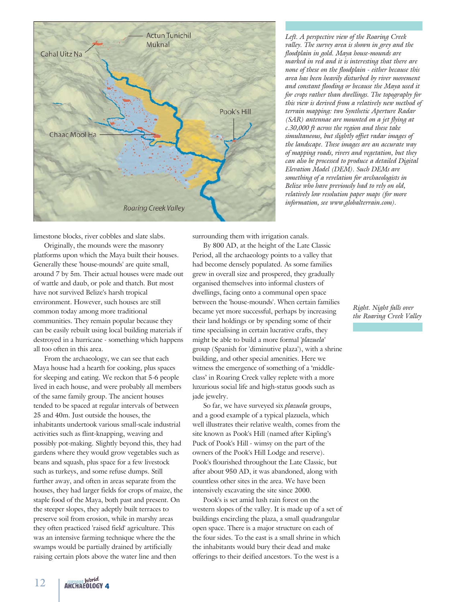

*Left. A perspective view of the Roaring Creek valley. The survey area is shown in grey and the floodplain in gold. Maya house-mounds are marked in red and it is interesting that there are none of these on the floodplain - either because this area has been heavily disturbed by river movement and constant flooding or because the Maya used it for crops rather than dwellings. The topography for this view is derived from a relatively new method of terrain mapping: two Synthetic Aperture Radar (SAR) antennae are mounted on a jet flying at c.30,000 ft across the region and these take simultaneous, but slightly offset radar images of the landscape. These images are an accurate way of mapping roads, rivers and vegetation, but they can also be processed to produce a detailed Digital Elevation Model (DEM). Such DEMs are something of a revelation for archaeologists in Belize who have previously had to rely on old, relatively low resolution paper maps (for more information, see www.globalterrain.com).*

limestone blocks, river cobbles and slate slabs.

Originally, the mounds were the masonry platforms upon which the Maya built their houses. Generally these 'house-mounds' are quite small, around 7 by 5m. Their actual houses were made out of wattle and daub, or pole and thatch. But most have not survived Belize's harsh tropical environment. However, such houses are still common today among more traditional communities. They remain popular because they can be easily rebuilt using local building materials if destroyed in a hurricane - something which happens all too often in this area.

From the archaeology, we can see that each Maya house had a hearth for cooking, plus spaces for sleeping and eating. We reckon that 5-6 people lived in each house, and were probably all members of the same family group. The ancient houses tended to be spaced at regular intervals of between 25 and 40m. Just outside the houses, the inhabitants undertook various small-scale industrial activities such as flint-knapping, weaving and possibly pot-making. Slightly beyond this, they had gardens where they would grow vegetables such as beans and squash, plus space for a few livestock such as turkeys, and some refuse dumps. Still further away, and often in areas separate from the houses, they had larger fields for crops of maize, the staple food of the Maya, both past and present. On the steeper slopes, they adeptly built terraces to preserve soil from erosion, while in marshy areas they often practiced 'raised field' agriculture. This was an intensive farming technique where the the swamps would be partially drained by artificially raising certain plots above the water line and then

surrounding them with irrigation canals.

By 800 AD, at the height of the Late Classic Period, all the archaeology points to a valley that had become densely populated. As some families grew in overall size and prospered, they gradually organised themselves into informal clusters of dwellings, facing onto a communal open space between the 'house-mounds'. When certain families became yet more successful, perhaps by increasing their land holdings or by spending some of their time specialising in certain lucrative crafts, they might be able to build a more formal '*plazuela*' group (Spanish for 'diminutive plaza'), with a shrine building, and other special amenities. Here we witness the emergence of something of a 'middleclass' in Roaring Creek valley replete with a more luxurious social life and high-status goods such as jade jewelry.

So far, we have surveyed six *plazuela* groups, and a good example of a typical plazuela, which well illustrates their relative wealth, comes from the site known as Pook's Hill (named after Kipling's Puck of Pook's Hill - wimsy on the part of the owners of the Pook's Hill Lodge and reserve). Pook's flourished throughout the Late Classic, but after about 950 AD, it was abandoned, along with countless other sites in the area. We have been intensively excavating the site since 2000.

Pook's is set amid lush rain forest on the western slopes of the valley. It is made up of a set of buildings encircling the plaza, a small quadrangular open space. There is a major structure on each of the four sides. To the east is a small shrine in which the inhabitants would bury their dead and make offerings to their deified ancestors. To the west is a

#### *Right. Night falls over the Roaring Creek Valley*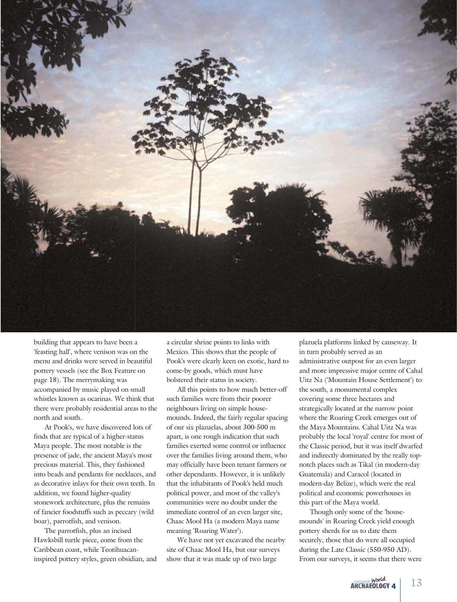

building that appears to have been a 'feasting hall', where venison was on the menu and drinks were served in beautiful pottery vessels (see the Box Feature on page 18). The merrymaking was accompanied by music played on small whistles known as ocarinas. We think that there were probably residential areas to the north and south.

At Pook's, we have discovered lots of finds that are typical of a higher-status Maya people. The most notable is the presence of jade, the ancient Maya's most precious material. This, they fashioned into beads and pendants for necklaces, and as decorative inlays for their own teeth. In addition, we found higher-quality stonework architecture, plus the remains of fancier foodstuffs such as peccary (wild boar), parrotfish, and venison.

The parrotfish, plus an incised Hawksbill turtle piece, come from the Caribbean coast, while Teotihuacaninspired pottery styles, green obsidian, and a circular shrine points to links with Mexico. This shows that the people of Pook's were clearly keen on exotic, hard to come-by goods, which must have bolstered their status in society.

All this points to how much better-off such families were from their poorer neighbours living on simple housemounds. Indeed, the fairly regular spacing of our six plazuelas, about 300-500 m apart, is one rough indication that such families exerted some control or influence over the families living around them, who may officially have been tenant farmers or other dependants. However, it is unlikely that the inhabitants of Pook's held much political power, and most of the valley's communities were no doubt under the immediate control of an even larger site, Chaac Mool Ha (a modern Maya name meaning 'Roaring Water').

We have not yet excavated the nearby site of Chaac Mool Ha, but our surveys show that it was made up of two large

plazuela platforms linked by causeway. It in turn probably served as an administrative outpost for an even larger and more impressive major centre of Cahal Uitz Na ('Mountain House Settlement') to the south, a monumental complex covering some three hectares and strategically located at the narrow point where the Roaring Creek emerges out of the Maya Mountains. Cahal Uitz Na was probably the local 'royal' centre for most of the Classic period, but it was itself dwarfed and indirectly dominated by the really topnotch places such as Tikal (in modern-day Guatemala) and Caracol (located in modern-day Belize), which were the real political and economic powerhouses in this part of the Maya world.

Though only some of the 'housemounds' in Roaring Creek yield enough pottery sherds for us to date them securely, those that do were all occupied during the Late Classic (550-950 AD). From our surveys, it seems that there were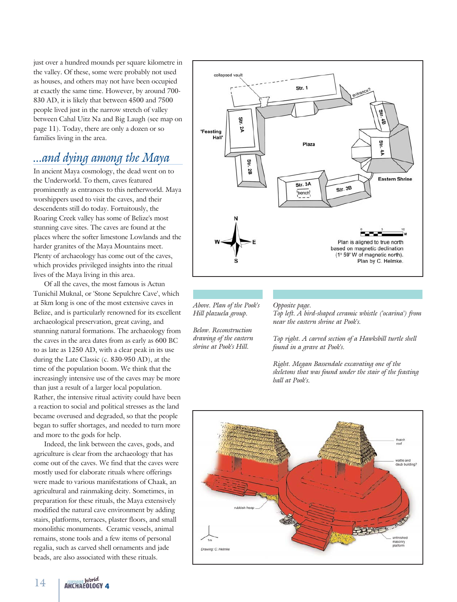just over a hundred mounds per square kilometre in the valley. Of these, some were probably not used as houses, and others may not have been occupied at exactly the same time. However, by around 700- 830 AD, it is likely that between 4500 and 7500 people lived just in the narrow stretch of valley between Cahal Uitz Na and Big Laugh (see map on page 11). Today, there are only a dozen or so families living in the area.

## *...and dying among the Maya*

In ancient Maya cosmology, the dead went on to the Underworld. To them, caves featured prominently as entrances to this netherworld. Maya worshippers used to visit the caves, and their descendents still do today. Fortuitously, the Roaring Creek valley has some of Belize's most stunning cave sites. The caves are found at the places where the softer limestone Lowlands and the harder granites of the Maya Mountains meet. Plenty of archaeology has come out of the caves, which provides privileged insights into the ritual lives of the Maya living in this area.

Of all the caves, the most famous is Actun Tunichil Muknal, or 'Stone Sepulchre Cave', which at 5km long is one of the most extensive caves in Belize, and is particularly renowned for its excellent archaeological preservation, great caving, and stunning natural formations. The archaeology from the caves in the area dates from as early as 600 BC to as late as 1250 AD, with a clear peak in its use during the Late Classic (c. 830-950 AD), at the time of the population boom. We think that the increasingly intensive use of the caves may be more than just a result of a larger local population. Rather, the intensive ritual activity could have been a reaction to social and political stresses as the land became overused and degraded, so that the people began to suffer shortages, and needed to turn more and more to the gods for help.

Indeed, the link between the caves, gods, and agriculture is clear from the archaeology that has come out of the caves. We find that the caves were mostly used for elaborate rituals where offerings were made to various manifestations of Chaak, an agricultural and rainmaking deity. Sometimes, in preparation for these rituals, the Maya extensively modified the natural cave environment by adding stairs, platforms, terraces, plaster floors, and small monolithic monuments. Ceramic vessels, animal remains, stone tools and a few items of personal regalia, such as carved shell ornaments and jade beads, are also associated with these rituals.





*Below. Reconstruction drawing of the eastern shrine at Pook's Hill.*

#### *Opposite page.*

*Top left. A bird-shaped ceramic whistle ('ocarina') from near the eastern shrine at Pook's.*

*Top right. A carved section of a Hawksbill turtle shell found in a grave at Pook's.*

*Right. Megan Bassendale excavating one of the skeletons that was found under the stair of the feasting hall at Pook's.*

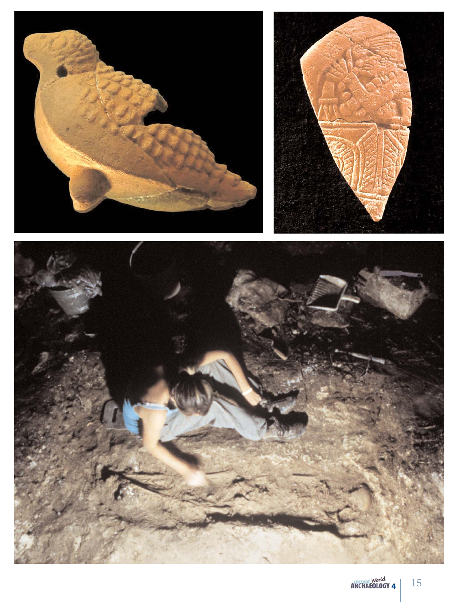